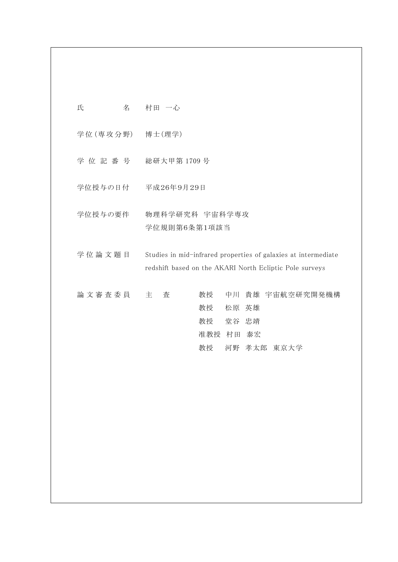| 氏<br>名          | 村田 一心                                                                                                                     |
|-----------------|---------------------------------------------------------------------------------------------------------------------------|
| 学位(専攻分野) 博士(理学) |                                                                                                                           |
| 学位記番号           | 総研大甲第1709号                                                                                                                |
| 学位授与の日付         | 平成26年9月29日                                                                                                                |
| 学位授与の要件         | 物理科学研究科 宇宙科学専攻<br>学位規則第6条第1項該当                                                                                            |
| 学位論文題目          | Studies in mid-infrared properties of galaxies at intermediate<br>redshift based on the AKARI North Ecliptic Pole surveys |
| 論文審査委員          | 中川 貴雄 宇宙航空研究開発機構<br>主<br>査<br>教授<br>教授<br>松原 英雄<br>教授<br>堂谷 忠靖<br>准教授 村田 泰宏<br>教授<br>河野 孝太郎 東京大学                          |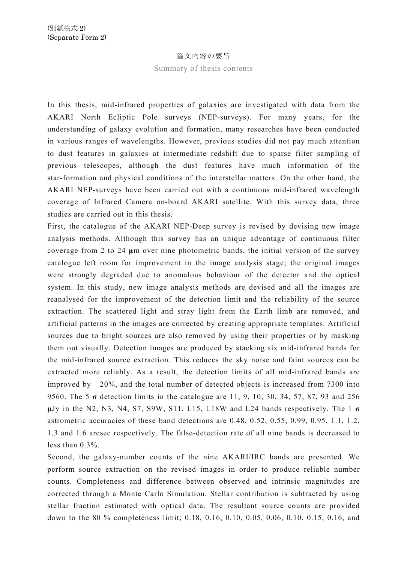## 論文内容の要旨

Summary of thesis contents

In this thesis, mid-infrared properties of galaxies are investigated with data from the AKARI North Ecliptic Pole surveys (NEP-surveys). For many years, for the understanding of galaxy evolution and formation, many researches have been conducted in various ranges of wavelengths. However, previous studies did not pay much attention to dust features in galaxies at intermediate redshift due to sparse filter sampling of previous telescopes, although the dust features have much information of the star-formation and physical conditions of the interstellar matters. On the other hand, the AKARI NEP-surveys have been carried out with a continuous mid-infrared wavelength coverage of Infrared Camera on-board AKARI satellite. With this survey data, three studies are carried out in this thesis.

First, the catalogue of the AKARI NEP-Deep survey is revised by devising new image analysis methods. Although this survey has an unique advantage of continuous filter coverage from 2 to 24 **μ**m over nine photometric bands, the initial version of the survey catalogue left room for improvement in the image analysis stage; the original images were strongly degraded due to anomalous behaviour of the detector and the optical system. In this study, new image analysis methods are devised and all the images are reanalysed for the improvement of the detection limit and the reliability of the source extraction. The scattered light and stray light from the Earth limb are removed, and artificial patterns in the images are corrected by creating appropriate templates. Artificial sources due to bright sources are also removed by using their properties or by masking them out visually. Detection images are produced by stacking six mid-infrared bands for the mid-infrared source extraction. This reduces the sky noise and faint sources can be extracted more reliably. As a result, the detection limits of all mid-infrared bands are improved by 20%, and the total number of detected objects is increased from 7300 into 9560. The 5 **σ** detection limits in the catalogue are 11, 9, 10, 30, 34, 57, 87, 93 and 256 **μ**Jy in the N2, N3, N4, S7, S9W, S11, L15, L18W and L24 bands respectively. The 1 **σ** astrometric accuracies of these band detections are 0.48, 0.52, 0.55, 0.99, 0.95, 1.1, 1.2, 1.3 and 1.6 arcsec respectively. The false-detection rate of all nine bands is decreased to less than 0.3%.

Second, the galaxy-number counts of the nine AKARI/IRC bands are presented. We perform source extraction on the revised images in order to produce reliable number counts. Completeness and difference between observed and intrinsic magnitudes are corrected through a Monte Carlo Simulation. Stellar contribution is subtracted by using stellar fraction estimated with optical data. The resultant source counts are provided down to the 80 % completeness limit; 0.18, 0.16, 0.10, 0.05, 0.06, 0.10, 0.15, 0.16, and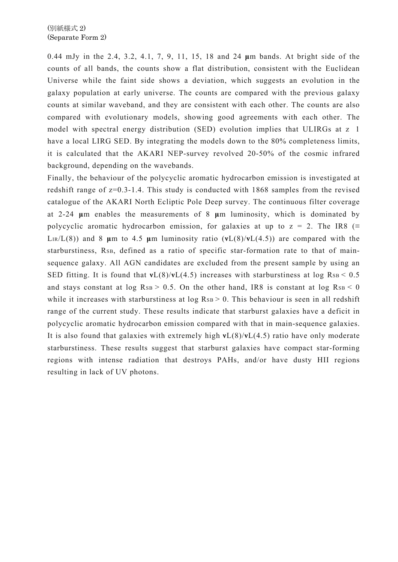0.44 mJy in the 2.4, 3.2, 4.1, 7, 9, 11, 15, 18 and 24 **μ**m bands. At bright side of the counts of all bands, the counts show a flat distribution, consistent with the Euclidean Universe while the faint side shows a deviation, which suggests an evolution in the galaxy population at early universe. The counts are compared with the previous galaxy counts at similar waveband, and they are consistent with each other. The counts are also compared with evolutionary models, showing good agreements with each other. The model with spectral energy distribution (SED) evolution implies that ULIRGs at z 1 have a local LIRG SED. By integrating the models down to the 80% completeness limits, it is calculated that the AKARI NEP-survey revolved 20-50% of the cosmic infrared background, depending on the wavebands.

Finally, the behaviour of the polycyclic aromatic hydrocarbon emission is investigated at redshift range of z=0.3-1.4. This study is conducted with 1868 samples from the revised catalogue of the AKARI North Ecliptic Pole Deep survey. The continuous filter coverage at 2-24 **μ**m enables the measurements of 8 **μ**m luminosity, which is dominated by polycyclic aromatic hydrocarbon emission, for galaxies at up to  $z = 2$ . The IR8 (= LIR/L(8)) and 8 **μ**m to 4.5 **μ**m luminosity ratio (**ν**L(8)/**ν**L(4.5)) are compared with the starburstiness, RsB, defined as a ratio of specific star-formation rate to that of mainsequence galaxy. All AGN candidates are excluded from the present sample by using an SED fitting. It is found that  $vL(8)/vL(4.5)$  increases with starburstiness at log RsB < 0.5 and stays constant at  $log R_{SB} > 0.5$ . On the other hand, IR8 is constant at  $log R_{SB} < 0$ while it increases with starburstiness at  $log R_{SB} > 0$ . This behaviour is seen in all redshift range of the current study. These results indicate that starburst galaxies have a deficit in polycyclic aromatic hydrocarbon emission compared with that in main-sequence galaxies. It is also found that galaxies with extremely high **ν**L(8)/**ν**L(4.5) ratio have only moderate starburstiness. These results suggest that starburst galaxies have compact star-forming regions with intense radiation that destroys PAHs, and/or have dusty HII regions resulting in lack of UV photons.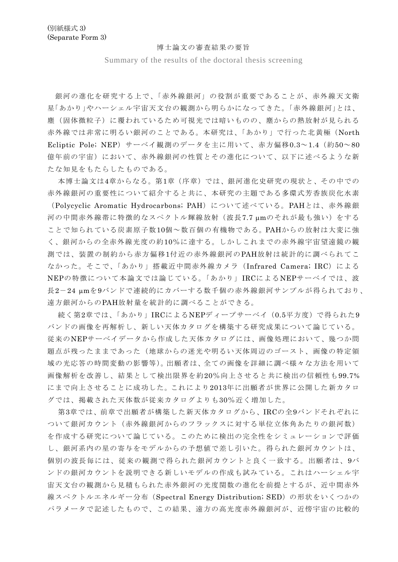## 博士論文の審査結果の要旨

Summary of the results of the doctoral thesis screening

銀河の進化を研究する上で、「赤外線銀河」の役割が重要であることが、赤外線天文衛 星「あかり」やハーシェル宇宙天文台の観測から明らかになってきた。「赤外線銀河」とは、 塵(固体微粒子)に覆われているため可視光では暗いものの、塵からの熱放射が見られる 赤外線では非常に明るい銀河のことである。本研究は、「あかり」で行った北黄極(North Ecliptic Pole; NEP)サーベイ観測のデータを主に用いて、赤方偏移0.3~1.4(約50~80 億年前の宇宙)において、赤外線銀河の性質とその進化について、以下に述べるような新 たな知見をもたらしたものである。

本博士論文は4章からなる。第1章(序章)では、銀河進化史研究の現状と、その中での 赤外線銀河の重要性について紹介すると共に、本研究の主題である多環式芳香族炭化水素 (Polycyclic Aromatic Hydrocarbons; PAH)について述べている。PAHとは、赤外線銀 河の中間赤外線帯に特徴的なスペクトル輝線放射(波長7.7 μmのそれが最も強い)をする ことで知られている炭素原子数10個~数百個の有機物である。PAHからの放射は大変に強 く、銀河からの全赤外線光度の約10%に達する。しかしこれまでの赤外線宇宙望遠鏡の観 測では、装置の制約から赤方偏移1付近の赤外線銀河のPAH放射は統計的に調べられてこ なかった。そこで、「あかり」搭載近中間赤外線カメラ (Infrared Camera; IRC) による NEPの特徴について本論文では論じている。「あかり」IRCによるNEPサーベイでは、波 長2-24 µmを9バンドで連続的にカバーする数千個の赤外線銀河サンプルが得られており、 遠方銀河からのPAH放射量を統計的に調べることができる。

続く第2章では、「あかり」IRCによるNEPディープサーベイ (0.5平方度)で得られた9 バンドの画像を再解析し、新しい天体カタログを構築する研究成果について論じている。 従来のNEPサーベイデータから作成した天体カタログには、画像処理において、幾つか問 題点が残ったままであった(地球からの迷光や明るい天体周辺のゴースト、画像の特定領 域の光応答の時間変動の影響等)。出願者は、全ての画像を詳細に調べ様々な方法を用いて 画像解析を改善し、結果として検出限界を約20%向上させると共に検出の信頼性も99.7% にまで向上させることに成功した。これにより2013年に出願者が世界に公開した新カタロ グでは、掲載された天体数が従来カタログよりも30%近く増加した。

第3章では、前章で出願者が構築した新天体カタログから、IRCの全9バンドそれぞれに ついて銀河カウント(赤外線銀河からのフラックスに対する単位立体角あたりの銀河数) を作成する研究について論じている。このために検出の完全性をシミュレーションで評価 し、銀河系内の星の寄与をモデルからの予想値で差し引いた。得られた銀河カウントは、 個別の波長毎には、従来の観測で得られた銀河カウントと良く一致する。出願者は、9バ ンドの銀河カウントを説明できる新しいモデルの作成も試みている。これはハーシェル宇 宙天文台の観測から見積もられた赤外銀河の光度関数の進化を前提とするが、近中間赤外 線スペクトルエネルギー分布 (Spectral Energy Distribution; SED) の形状をいくつかの パラメータで記述したもので、この結果、遠方の高光度赤外線銀河が、近傍宇宙の比較的